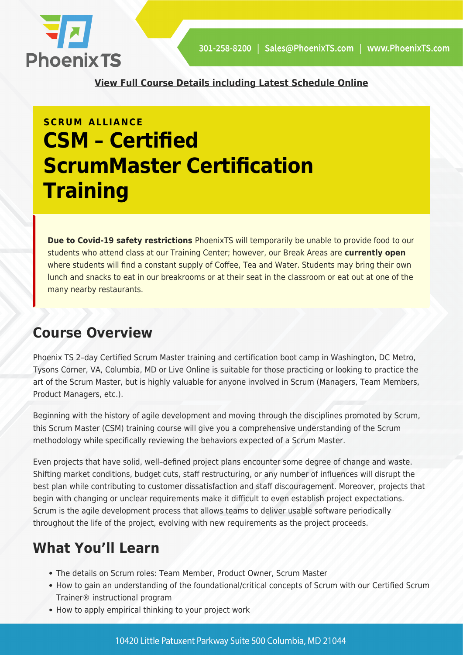

**[View Full Course Details including Latest Schedule Online](https://phoenixts.com/training-courses/csm-certified-scrummaster-certification-training/)**

# **SCRUM ALLIANCE CSM – Certified ScrumMaster Certification Training**

**Due to Covid-19 safety restrictions** PhoenixTS will temporarily be unable to provide food to our students who attend class at our Training Center; however, our Break Areas are **currently open** where students will find a constant supply of Coffee, Tea and Water. Students may bring their own lunch and snacks to eat in our breakrooms or at their seat in the classroom or eat out at one of the many nearby restaurants.

# **Course Overview**

Phoenix TS 2–day Certified Scrum Master training and certification boot camp in Washington, DC Metro, Tysons Corner, VA, Columbia, MD or Live Online is suitable for those practicing or looking to practice the art of the Scrum Master, but is highly valuable for anyone involved in Scrum (Managers, Team Members, Product Managers, etc.).

Beginning with the history of agile development and moving through the disciplines promoted by Scrum, this Scrum Master (CSM) training course will give you a comprehensive understanding of the Scrum methodology while specifically reviewing the behaviors expected of a Scrum Master.

Even projects that have solid, well–defined project plans encounter some degree of change and waste. Shifting market conditions, budget cuts, staff restructuring, or any number of influences will disrupt the best plan while contributing to customer dissatisfaction and staff discouragement. Moreover, projects that begin with changing or unclear requirements make it difficult to even establish project expectations. Scrum is the agile development process that allows teams to deliver usable software periodically throughout the life of the project, evolving with new requirements as the project proceeds.

# **What You'll Learn**

- The details on Scrum roles: Team Member, Product Owner, Scrum Master
- How to gain an understanding of the foundational/critical concepts of Scrum with our Certified Scrum Trainer® instructional program
- How to apply empirical thinking to your project work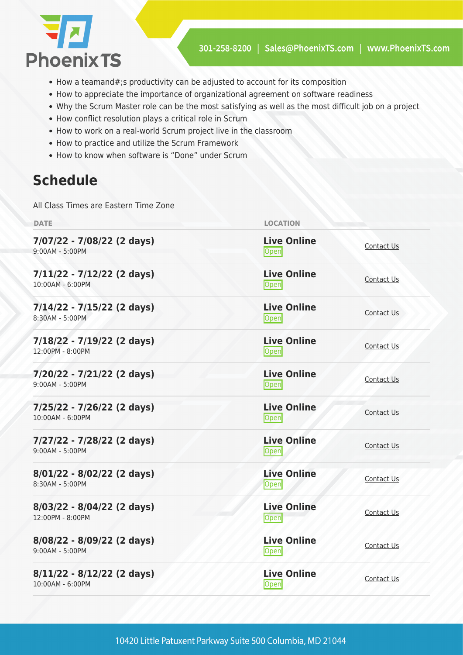

- How a teamand#;s productivity can be adjusted to account for its composition
- How to appreciate the importance of organizational agreement on software readiness
- Why the Scrum Master role can be the most satisfying as well as the most difficult job on a project
- How conflict resolution plays a critical role in Scrum
- How to work on a real-world Scrum project live in the classroom
- How to practice and utilize the Scrum Framework
- How to know when software is "Done" under Scrum

# **Schedule**

All Class Times are Eastern Time Zone

| <b>DATE</b>                                        | <b>LOCATION</b>                   |                   |
|----------------------------------------------------|-----------------------------------|-------------------|
| 7/07/22 - 7/08/22 (2 days)<br>9:00AM - 5:00PM      | <b>Live Online</b><br><b>Open</b> | Contact Us        |
| $7/11/22 - 7/12/22$ (2 days)<br>10:00AM - 6:00PM   | <b>Live Online</b><br>Open        | Contact Us        |
| $7/14/22 - 7/15/22$ (2 days)<br>8:30AM - 5:00PM    | <b>Live Online</b><br><b>Open</b> | Contact Us        |
| 7/18/22 - 7/19/22 (2 days)<br>12:00PM - 8:00PM     | <b>Live Online</b><br><b>Open</b> | Contact Us        |
| $7/20/22 - 7/21/22$ (2 days)<br>$9:00AM - 5:00PM$  | <b>Live Online</b><br>Open        | Contact Us        |
| 7/25/22 - 7/26/22 (2 days)<br>10:00AM - 6:00PM     | <b>Live Online</b><br><b>Open</b> | Contact Us        |
| 7/27/22 - 7/28/22 (2 days)<br>9:00AM - 5:00PM      | <b>Live Online</b><br>Open        | Contact Us        |
| $8/01/22 - 8/02/22$ (2 days)<br>8:30AM - 5:00PM    | <b>Live Online</b><br>Open        | Contact Us        |
| $8/03/22 - 8/04/22$ (2 days)<br>$12:00PM - 8:00PM$ | <b>Live Online</b><br>Open        | Contact Us        |
| $8/08/22 - 8/09/22$ (2 days)<br>9:00AM - 5:00PM    | <b>Live Online</b><br><b>Open</b> | <b>Contact Us</b> |
| $8/11/22 - 8/12/22$ (2 days)<br>10:00AM - 6:00PM   | <b>Live Online</b><br><b>Open</b> | Contact Us        |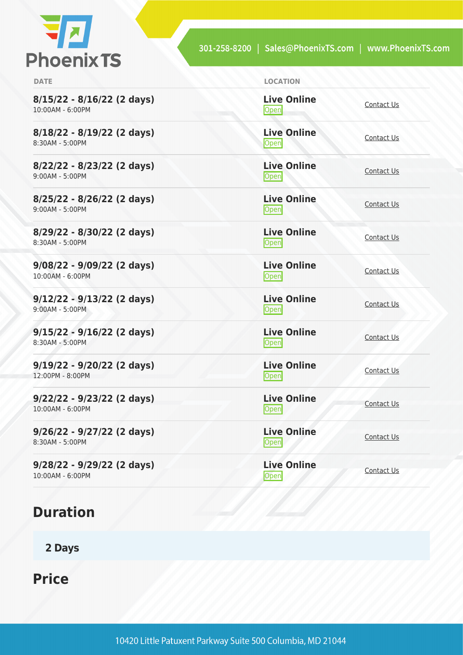

| <b>DATE</b>                                        | <b>LOCATION</b>                       |            |
|----------------------------------------------------|---------------------------------------|------------|
| $8/15/22 - 8/16/22$ (2 days)<br>10:00AM - 6:00PM   | <b>Live Online</b><br>Open            | Contact Us |
| $8/18/22 - 8/19/22$ (2 days)<br>8:30AM - 5:00PM    | <b>Live Online</b><br>Open            | Contact Us |
| $8/22/22 - 8/23/22$ (2 days)<br>9:00AM - 5:00PM    | <b>Live Online</b><br><b>Open</b>     | Contact Us |
| $8/25/22 - 8/26/22$ (2 days)<br>$9:00AM - 5:00PM$  | <b>Live Online</b><br>$\mathsf{Open}$ | Contact Us |
| $8/29/22 - 8/30/22$ (2 days)<br>8:30AM - 5:00PM    | <b>Live Online</b><br><b>Open</b>     | Contact Us |
| $9/08/22 - 9/09/22$ (2 days)<br>10:00AM - 6:00PM   | <b>Live Online</b><br>$\mathsf{Open}$ | Contact Us |
| $9/12/22 - 9/13/22$ (2 days)<br>$9:00AM - 5:00PM$  | <b>Live Online</b><br>$\mathsf{Open}$ | Contact Us |
| $9/15/22 - 9/16/22$ (2 days)<br>8:30AM - 5:00PM    | <b>Live Online</b><br>$\mathsf{Open}$ | Contact Us |
| $9/19/22 - 9/20/22$ (2 days)<br>12:00PM - 8:00PM   | <b>Live Online</b><br>Open            | Contact Us |
| $9/22/22 - 9/23/22$ (2 days)<br>$10:00AM - 6:00PM$ | <b>Live Online</b><br>Open            | Contact Us |
| $9/26/22 - 9/27/22$ (2 days)<br>8:30AM - 5:00PM    | <b>Live Online</b><br>Open            | Contact Us |
| $9/28/22 - 9/29/22$ (2 days)<br>10:00AM - 6:00PM   | <b>Live Online</b><br>Open            | Contact Us |

# **Duration**

**2 Days**

**Price**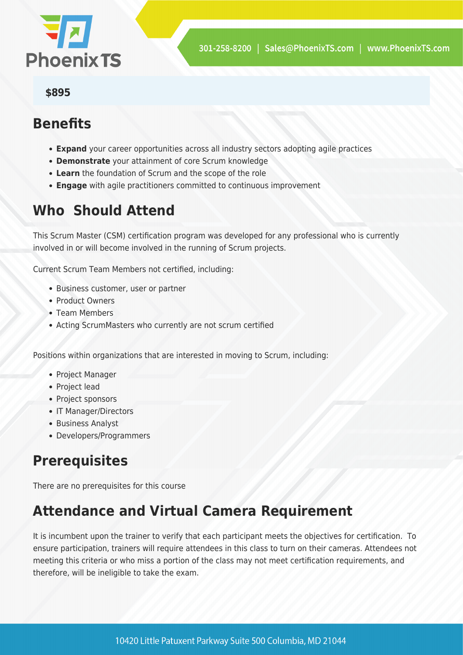

#### **\$895**

### **Benefits**

- **Expand** your career opportunities across all industry sectors adopting agile practices
- **Demonstrate** your attainment of core Scrum knowledge
- **Learn** the foundation of Scrum and the scope of the role
- **Engage** with agile practitioners committed to continuous improvement

# **Who Should Attend**

This Scrum Master (CSM) certification program was developed for any professional who is currently involved in or will become involved in the running of Scrum projects.

Current Scrum Team Members not certified, including:

- Business customer, user or partner
- Product Owners
- Team Members
- Acting ScrumMasters who currently are not scrum certified

Positions within organizations that are interested in moving to Scrum, including:

- Project Manager
- Project lead
- Project sponsors
- IT Manager/Directors
- Business Analyst
- Developers/Programmers

# **Prerequisites**

There are no prerequisites for this course

# **Attendance and Virtual Camera Requirement**

It is incumbent upon the trainer to verify that each participant meets the objectives for certification. To ensure participation, trainers will require attendees in this class to turn on their cameras. Attendees not meeting this criteria or who miss a portion of the class may not meet certification requirements, and therefore, will be ineligible to take the exam.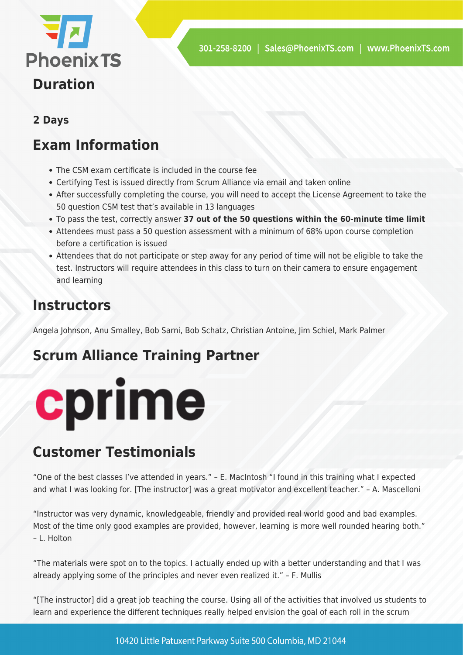

#### **2 Days**

# **Exam Information**

- The CSM exam certificate is included in the course fee
- Certifying Test is issued directly from Scrum Alliance via email and taken online
- After successfully completing the course, you will need to accept the License Agreement to take the 50 question CSM test that's available in 13 languages
- To pass the test, correctly answer **37 out of the 50 questions within the 60-minute time limit**
- Attendees must pass a 50 question assessment with a minimum of 68% upon course completion before a certification is issued
- Attendees that do not participate or step away for any period of time will not be eligible to take the test. Instructors will require attendees in this class to turn on their camera to ensure engagement and learning

### **Instructors**

Angela Johnson, Anu Smalley, Bob Sarni, Bob Schatz, Christian Antoine, Jim Schiel, Mark Palmer

# **Scrum Alliance Training Partner**



# **Customer Testimonials**

"One of the best classes I've attended in years." – E. MacIntosh "I found in this training what I expected and what I was looking for. [The instructor] was a great motivator and excellent teacher." – A. Mascelloni

"Instructor was very dynamic, knowledgeable, friendly and provided real world good and bad examples. Most of the time only good examples are provided, however, learning is more well rounded hearing both." – L. Holton

"The materials were spot on to the topics. I actually ended up with a better understanding and that I was already applying some of the principles and never even realized it." – F. Mullis

"[The instructor] did a great job teaching the course. Using all of the activities that involved us students to learn and experience the different techniques really helped envision the goal of each roll in the scrum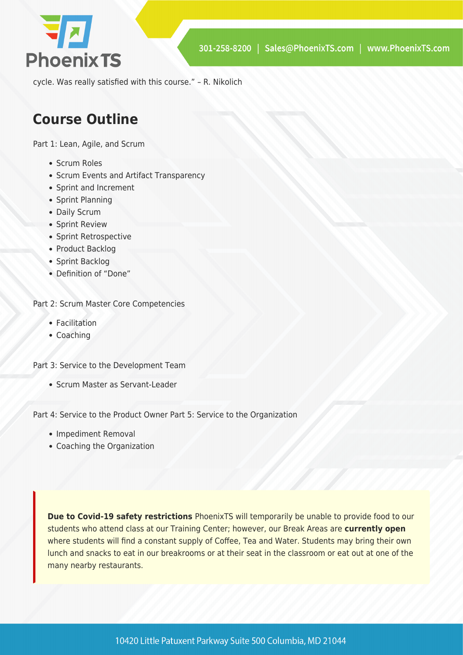

cycle. Was really satisfied with this course." – R. Nikolich

# **Course Outline**

Part 1: Lean, Agile, and Scrum

- Scrum Roles
- Scrum Events and Artifact Transparency
- Sprint and Increment
- Sprint Planning
- Daily Scrum
- Sprint Review
- Sprint Retrospective
- Product Backlog
- Sprint Backlog
- Definition of "Done"

Part 2: Scrum Master Core Competencies

- Facilitation
- Coaching

Part 3: Service to the Development Team

Scrum Master as Servant-Leader

Part 4: Service to the Product Owner Part 5: Service to the Organization

- Impediment Removal
- Coaching the Organization

**Due to Covid-19 safety restrictions** PhoenixTS will temporarily be unable to provide food to our students who attend class at our Training Center; however, our Break Areas are **currently open** where students will find a constant supply of Coffee, Tea and Water. Students may bring their own lunch and snacks to eat in our breakrooms or at their seat in the classroom or eat out at one of the many nearby restaurants.